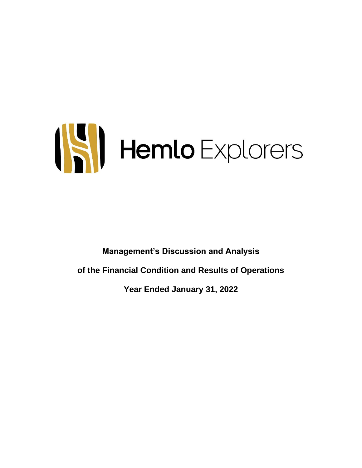# ISI Hemlo Explorers

**Management's Discussion and Analysis of the Financial Condition and Results of Operations**

**Year Ended January 31, 2022**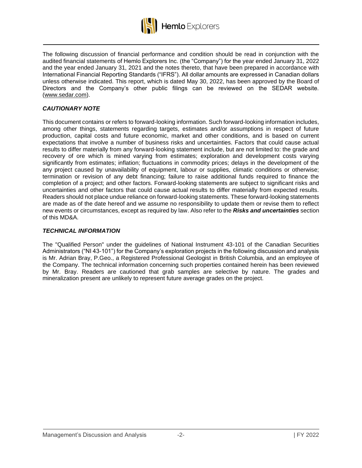

The following discussion of financial performance and condition should be read in conjunction with the audited financial statements of Hemlo Explorers Inc. (the "Company") for the year ended January 31, 2022 and the year ended January 31, 2021 and the notes thereto, that have been prepared in accordance with International Financial Reporting Standards ("IFRS"). All dollar amounts are expressed in Canadian dollars unless otherwise indicated. This report, which is dated May 30, 2022, has been approved by the Board of Directors and the Company's other public filings can be reviewed on the SEDAR website. (www.sedar.com).

# *CAUTIONARY NOTE*

This document contains or refers to forward-looking information. Such forward-looking information includes, among other things, statements regarding targets, estimates and/or assumptions in respect of future production, capital costs and future economic, market and other conditions, and is based on current expectations that involve a number of business risks and uncertainties. Factors that could cause actual results to differ materially from any forward-looking statement include, but are not limited to: the grade and recovery of ore which is mined varying from estimates; exploration and development costs varying significantly from estimates; inflation; fluctuations in commodity prices; delays in the development of the any project caused by unavailability of equipment, labour or supplies, climatic conditions or otherwise; termination or revision of any debt financing; failure to raise additional funds required to finance the completion of a project; and other factors. Forward-looking statements are subject to significant risks and uncertainties and other factors that could cause actual results to differ materially from expected results. Readers should not place undue reliance on forward-looking statements. These forward-looking statements are made as of the date hereof and we assume no responsibility to update them or revise them to reflect new events or circumstances, except as required by law. Also refer to the *Risks and uncertainties* section of this MD&A.

# *TECHNICAL INFORMATION*

The "Qualified Person" under the guidelines of National Instrument 43-101 of the Canadian Securities Administrators ("NI 43-101") for the Company's exploration projects in the following discussion and analysis is Mr. Adrian Bray, P.Geo., a Registered Professional Geologist in British Columbia, and an employee of the Company. The technical information concerning such properties contained herein has been reviewed by Mr. Bray. Readers are cautioned that grab samples are selective by nature. The grades and mineralization present are unlikely to represent future average grades on the project.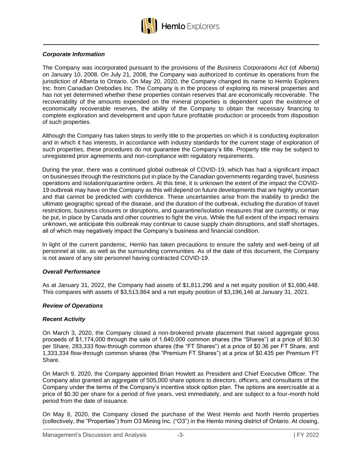

#### *Corporate Information*

The Company was incorporated pursuant to the provisions of the *Business Corporations Act* (of Alberta) on January 10, 2008. On July 21, 2008, the Company was authorized to continue its operations from the jurisdiction of Alberta to Ontario. On May 20, 2020, the Company changed its name to Hemlo Explorers Inc. from Canadian Orebodies Inc. The Company is in the process of exploring its mineral properties and has not yet determined whether these properties contain reserves that are economically recoverable. The recoverability of the amounts expended on the mineral properties is dependent upon the existence of economically recoverable reserves, the ability of the Company to obtain the necessary financing to complete exploration and development and upon future profitable production or proceeds from disposition of such properties.

Although the Company has taken steps to verify title to the properties on which it is conducting exploration and in which it has interests, in accordance with industry standards for the current stage of exploration of such properties, these procedures do not guarantee the Company's title. Property title may be subject to unregistered prior agreements and non-compliance with regulatory requirements.

During the year, there was a continued global outbreak of COVID-19, which has had a significant impact on businesses through the restrictions put in place by the Canadian governments regarding travel, business operations and isolation/quarantine orders. At this time, it is unknown the extent of the impact the COVID-19 outbreak may have on the Company as this will depend on future developments that are highly uncertain and that cannot be predicted with confidence. These uncertainties arise from the inability to predict the ultimate geographic spread of the disease, and the duration of the outbreak, including the duration of travel restrictions, business closures or disruptions, and quarantine/isolation measures that are currently, or may be put, in place by Canada and other countries to fight the virus. While the full extent of the impact remains unknown, we anticipate this outbreak may continue to cause supply chain disruptions, and staff shortages, all of which may negatively impact the Company's business and financial condition.

In light of the current pandemic, Hemlo has taken precautions to ensure the safety and well-being of all personnel at site, as well as the surrounding communities. As of the date of this document, the Company is not aware of any site personnel having contracted COVID-19.

#### *Overall Performance*

As at January 31, 2022, the Company had assets of \$1,811,296 and a net equity position of \$1,690,448. This compares with assets of \$3,513,864 and a net equity position of \$3,196,146 at January 31, 2021.

#### *Review of Operations*

#### *Recent Activity*

On March 3, 2020, the Company closed a non-brokered private placement that raised aggregate gross proceeds of \$1,174,000 through the sale of 1,640,000 common shares (the "Shares") at a price of \$0.30 per Share, 283,333 flow-through common shares (the "FT Shares") at a price of \$0.36 per FT Share, and 1,333,334 flow-through common shares (the "Premium FT Shares") at a price of \$0.435 per Premium FT Share.

On March 9, 2020, the Company appointed Brian Howlett as President and Chief Executive Officer. The Company also granted an aggregate of 505,000 share options to directors, officers, and consultants of the Company under the terms of the Company's incentive stock option plan. The options are exercisable at a price of \$0.30 per share for a period of five years, vest immediately, and are subject to a four-month hold period from the date of issuance.

On May 8, 2020, the Company closed the purchase of the West Hemlo and North Hemlo properties (collectively, the "Properties") from O3 Mining Inc. ("O3") in the Hemlo mining district of Ontario. At closing,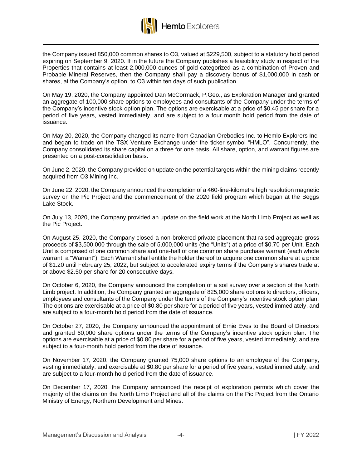

Hemlo Explorers

the Company issued 850,000 common shares to O3, valued at \$229,500, subject to a statutory hold period expiring on September 9, 2020. If in the future the Company publishes a feasibility study in respect of the Properties that contains at least 2,000,000 ounces of gold categorized as a combination of Proven and Probable Mineral Reserves, then the Company shall pay a discovery bonus of \$1,000,000 in cash or shares, at the Company's option, to O3 within ten days of such publication.

On May 19, 2020, the Company appointed Dan McCormack, P.Geo., as Exploration Manager and granted an aggregate of 100,000 share options to employees and consultants of the Company under the terms of the Company's incentive stock option plan. The options are exercisable at a price of \$0.45 per share for a period of five years, vested immediately, and are subject to a four month hold period from the date of issuance.

On May 20, 2020, the Company changed its name from Canadian Orebodies Inc. to Hemlo Explorers Inc. and began to trade on the TSX Venture Exchange under the ticker symbol "HMLO". Concurrently, the Company consolidated its share capital on a three for one basis. All share, option, and warrant figures are presented on a post-consolidation basis.

On June 2, 2020, the Company provided on update on the potential targets within the mining claims recently acquired from O3 Mining Inc.

On June 22, 2020, the Company announced the completion of a 460-line-kilometre high resolution magnetic survey on the Pic Project and the commencement of the 2020 field program which began at the Beggs Lake Stock.

On July 13, 2020, the Company provided an update on the field work at the North Limb Project as well as the Pic Project.

On August 25, 2020, the Company closed a non-brokered private placement that raised aggregate gross proceeds of \$3,500,000 through the sale of 5,000,000 units (the "Units") at a price of \$0.70 per Unit. Each Unit is comprised of one common share and one-half of one common share purchase warrant (each whole warrant, a "Warrant"). Each Warrant shall entitle the holder thereof to acquire one common share at a price of \$1.20 until February 25, 2022, but subject to accelerated expiry terms if the Company's shares trade at or above \$2.50 per share for 20 consecutive days.

On October 6, 2020, the Company announced the completion of a soil survey over a section of the North Limb project. In addition, the Company granted an aggregate of 825,000 share options to directors, officers, employees and consultants of the Company under the terms of the Company's incentive stock option plan. The options are exercisable at a price of \$0.80 per share for a period of five years, vested immediately, and are subject to a four-month hold period from the date of issuance.

On October 27, 2020, the Company announced the appointment of Ernie Eves to the Board of Directors and granted 60,000 share options under the terms of the Company's incentive stock option plan. The options are exercisable at a price of \$0.80 per share for a period of five years, vested immediately, and are subject to a four-month hold period from the date of issuance.

On November 17, 2020, the Company granted 75,000 share options to an employee of the Company, vesting immediately, and exercisable at \$0.80 per share for a period of five years, vested immediately, and are subject to a four-month hold period from the date of issuance.

On December 17, 2020, the Company announced the receipt of exploration permits which cover the majority of the claims on the North Limb Project and all of the claims on the Pic Project from the Ontario Ministry of Energy, Northern Development and Mines.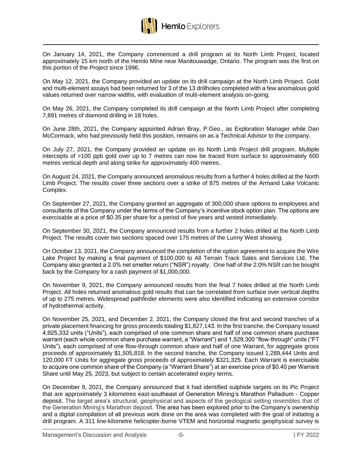

On January 14, 2021, the Company commenced a drill program at its North Limb Project, located approximately 15 km north of the Hemlo Mine near Manitouwadge, Ontario. The program was the first on this portion of the Project since 1996.

On May 12, 2021, the Company provided an update on its drill campaign at the North Limb Project. Gold and multi-element assays had been returned for 3 of the 13 drillholes completed with a few anomalous gold values returned over narrow widths, with evaluation of multi-element analysis on-going.

On May 26, 2021, the Company completed its drill campaign at the North Limb Project after completing 7,891 metres of diamond drilling in 18 holes.

On June 28th, 2021, the Company appointed Adrian Bray, P.Geo., as Exploration Manager while Dan McCormack, who had previously held this position, remains on as a Technical Advisor to the company.

On July 27, 2021, the Company provided an update on its North Limb Project drill program. Multiple intercepts of >100 ppb gold over up to 7 metres can now be traced from surface to approximately 600 metres vertical depth and along strike for approximately 400 metres.

On August 24, 2021, the Company announced anomalous results from a further 4 holes drilled at the North Limb Project. The results cover three sections over a strike of 875 metres of the Armand Lake Volcanic Complex.

On September 27, 2021, the Company granted an aggregate of 300,000 share options to employees and consultants of the Company under the terms of the Company's incentive stock option plan. The options are exercisable at a price of \$0.35 per share for a period of five years and vested immediately.

On September 30, 2021, the Company announced results from a further 2 holes drilled at the North Limb Project. The results cover two sections spaced over 175 metres of the Lunny West showing.

On October 13, 2021, the Company announced the completion of the option agreement to acquire the Wire Lake Project by making a final payment of \$100,000 to All Terrain Track Sales and Services Ltd. The Company also granted a 2.0% net smelter return ("NSR") royalty. One half of the 2.0% NSR can be bought back by the Company for a cash payment of \$1,000,000.

On November 9, 2021, the Company announced results from the final 7 holes drilled at the North Limb Project. All holes returned anomalous gold results that can be correlated from surface over vertical depths of up to 275 metres. Widespread pathfinder elements were also identified indicating an extensive corridor of hydrothermal activity.

On November 25, 2021, and December 2, 2021, the Company closed the first and second tranches of a private placement financing for gross proceeds totaling \$1,827,143. In the first tranche, the Company issued 4,925,332 units ("Units"), each comprised of one common share and half of one common share purchase warrant (each whole common share purchase warrant, a "Warrant") and 1,529,300 "flow-through" units ("FT Units"), each comprised of one flow-through common share and half of one Warrant, for aggregate gross proceeds of approximately \$1,505,818. In the second tranche, the Company issued 1,289,444 Units and 120,000 FT Units for aggregate gross proceeds of approximately \$321,325. Each Warrant is exercisable to acquire one common share of the Company (a "Warrant Share") at an exercise price of \$0.40 per Warrant Share until May 25, 2023, but subject to certain accelerated expiry terms.

On December 9, 2021, the Company announced that it had identified sulphide targets on its Pic Project that are approximately 3 kilometres east-southeast of Generation Mining's Marathon Palladium - Copper deposit. The target area's structural, geophysical and aspects of the geological setting resembles that of the Generation Mining's Marathon deposit. The area has been explored prior to the Company's ownership and a digital compilation of all previous work done on the area was completed with the goal of initiating a drill program. A 311 line-kilometre helicopter-borne VTEM and horizontal magnetic geophysical survey is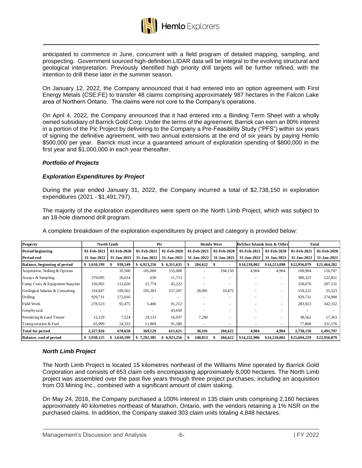

anticipated to commence in June, concurrent with a field program of detailed mapping, sampling, and prospecting. Government sourced high-definition LIDAR data will be integral to the evolving structural and geological interpretation. Previously identified high priority drill targets will be further refined, with the intention to drill these later in the summer season.

On January 12, 2022, the Company announced that it had entered into an option agreement with First Energy Metals (CSE:FE) to transfer 48 claims comprising approximately 987 hectares in the Falcon Lake area of Northern Ontario. The claims were not core to the Company's operations.

On April 4, 2022, the Company announced that it had entered into a Binding Term Sheet with a wholly owned subsidiary of Barrick Gold Corp. Under the terms of the agreement, Barrick can earn an 80% interest in a portion of the Pic Project by delivering to the Company a Pre-Feasibility Study ("PFS") within six years of signing the definitive agreement, with two annual extensions at the end of six years by paying Hemlo \$500,000 per year. Barrick must incur a guaranteed amount of exploration spending of \$800,000 in the first year and \$1,000,000 in each year thereafter.

#### *Portfolio of Projects*

## *Exploration Expenditures by Project*

During the year ended January 31, 2022, the Company incurred a total of \$2,738,150 in exploration expenditures (2021 - \$1,491,797).

The majority of the exploration expenditures were spent on the North Limb Project, which was subject to an 18-hole diamond drill program.

| Property                         |             | North Limb  |                 | Pic         |              | <b>Hemlo West</b> |              | Belcher Islands Iron & Other |              | Total        |
|----------------------------------|-------------|-------------|-----------------|-------------|--------------|-------------------|--------------|------------------------------|--------------|--------------|
| Period beginning                 | 01-Feb-2021 | 01-Feb-2020 | 01-Feb-2021     | 01-Feb-2020 | 01-Feb-2021  | 01-Feb-2020       | 01-Feb-2021  | 01-Feb-2020                  | 01-Feb-2021  | 01-Feb-2020  |
| Period end                       | 31-Jan-2022 | 31-Jan-2021 | 31-Jan-2022     | 31-Jan-2021 | 31-Jan-2022  | 31-Jan-2021       | 31-Jan-2022  | 31-Jan-2021                  | 31-Jan-2022  | 31-Jan-2021  |
| Balance, beginning of period     | \$1,610,199 | 939,549     | 6,923,256       | \$6,311,635 | 204,622<br>S | э                 | \$14,218,002 | \$14,213,098                 | \$22,956,079 | \$21,464,282 |
| Acquisition, Staking & Options   |             | 35,500      | 105,000         | 155,000     |              | 194,150           | 4,904        | 4,904                        | 109,904      | 116,707      |
| Assays & Sampling                | 379,695     | 26,614      | 630             | 11,713      |              |                   |              | ۰                            | 380,325      | 122,851      |
| Camp Costs & Equipment/Supplies  | 326,902     | 112,626     | 31,774          | 45,222      |              |                   |              |                              | 358,676      | 207,131      |
| Geological Salaries & Consulting | 334,847     | 199,562     | 195,383         | 157,207     | 28,991       | 10,472            |              |                              | 559,221      | 55,323       |
| Drilling                         | 929,731     | 172,016     |                 |             |              |                   |              |                              | 929,731      | 274,900      |
| <b>Field Work</b>                | 278,523     | 92,475      | 5,400           | 91,212      |              |                   |              | ۰                            | 283,923      | 342,332      |
| Geophysical                      |             |             |                 | 43,650      |              |                   |              | ۰                            |              |              |
| Permitting & Land Tenure         | 12,229      | 7,524       | 19,133          | 16,037      | 7,200        |                   |              |                              | 38,562       | 17,363       |
| Transportation & Fuel            | 65,999      | 24,333      | 11,809          | 91,580      |              |                   |              | ٠.                           | 77,808       | 331,576      |
| <b>Total for period</b>          | 2,327,926   | 670,650     | 369,129         | 611,621     | 36,191       | 204,622           | 4,904        | 4,904                        | 2,738,150    | 1,491,797    |
| Balance, end of period           | \$3,938,125 | 1,610,199   | 7,292,385<br>\$ | 6,923,256   | 240,813      | 204,622           | \$14,222,906 | \$14,218,002                 | \$25,694,229 | \$22,956,079 |

A complete breakdown of the exploration expenditures by project and category is provided below:

#### *North Limb Project*

The North Limb Project is located 15 kilometres northeast of the Williams Mine operated by Barrick Gold Corporation and consists of 653 claim cells encompassing approximately 8,000 hectares. The North Limb project was assembled over the past five years through three project purchases, including an acquisition from O3 Mining Inc., combined with a significant amount of claim staking.

On May 24, 2016, the Company purchased a 100% interest in 135 claim units comprising 2,160 hectares approximately 40 kilometres northeast of Marathon, Ontario, with the vendors retaining a 1% NSR on the purchased claims. In addition, the Company staked 303 claim units totaling 4,848 hectares.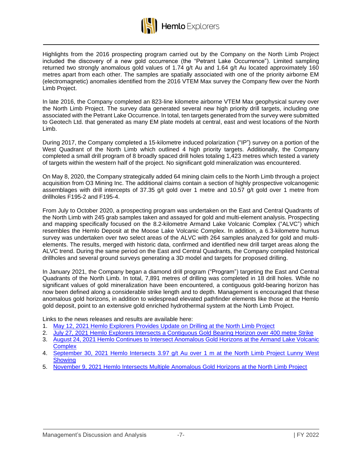

Highlights from the 2016 prospecting program carried out by the Company on the North Limb Project included the discovery of a new gold occurrence (the "Petrant Lake Occurrence"). Limited sampling returned two strongly anomalous gold values of 1.74 g/t Au and 1.64 g/t Au located approximately 160 metres apart from each other. The samples are spatially associated with one of the priority airborne EM (electromagnetic) anomalies identified from the 2016 VTEM Max survey the Company flew over the North Limb Project.

In late 2016, the Company completed an 823-line kilometre airborne VTEM Max geophysical survey over the North Limb Project. The survey data generated several new high priority drill targets, including one associated with the Petrant Lake Occurrence. In total, ten targets generated from the survey were submitted to Geotech Ltd. that generated as many EM plate models at central, east and west locations of the North Limb.

During 2017, the Company completed a 15-kilometre induced polarization ("IP") survey on a portion of the West Quadrant of the North Limb which outlined 4 high priority targets. Additionally, the Company completed a small drill program of 8 broadly spaced drill holes totaling 1,423 metres which tested a variety of targets within the western half of the project. No significant gold mineralization was encountered.

On May 8, 2020, the Company strategically added 64 mining claim cells to the North Limb through a project acquisition from O3 Mining Inc. The additional claims contain a section of highly prospective volcanogenic assemblages with drill intercepts of 37.35 g/t gold over 1 metre and 10.57 g/t gold over 1 metre from drillholes F195-2 and F195-4.

From July to October 2020, a prospecting program was undertaken on the East and Central Quadrants of the North Limb with 245 grab samples taken and assayed for gold and multi-element analysis. Prospecting and mapping specifically focused on the 8.2-kilometre Armand Lake Volcanic Complex ("ALVC") which resembles the Hemlo Deposit at the Moose Lake Volcanic Complex. In addition, a 6.3-kilometre humus survey was undertaken over two select areas of the ALVC with 264 samples analyzed for gold and multielements. The results, merged with historic data, confirmed and identified new drill target areas along the ALVC trend. During the same period on the East and Central Quadrants, the Company compiled historical drillholes and several ground surveys generating a 3D model and targets for proposed drilling.

In January 2021, the Company began a diamond drill program ("Program") targeting the East and Central Quadrants of the North Limb. In total, 7,891 metres of drilling was completed in 18 drill holes. While no significant values of gold mineralization have been encountered, a contiguous gold-bearing horizon has now been defined along a considerable strike length and to depth. Management is encouraged that these anomalous gold horizons, in addition to widespread elevated pathfinder elements like those at the Hemlo gold deposit, point to an extensive gold enriched hydrothermal system at the North Limb Project.

Links to the news releases and results are available here:

- 1. [May 12, 2021 Hemlo Explorers Provides Update on Drilling at the North Limb Project](https://hemloexplorers.ca/news/2021/hemlo-explorers-provides-update-on-drilling-at-the-north-limb-project/)
- 2. [July 27, 2021 Hemlo Explorers Intersects a Contiguous Gold Bearing Horizon over 400 metre Strike](https://hemloexplorers.ca/news/2021/hemlo-explorers-intersects-a-contiguous-gold-bearing-horizon-over-400-metre-strike/)
- 3. [August 24, 2021 Hemlo Continues to Intersect Anomalous Gold Horizons at the Armand Lake Volcanic](https://hemloexplorers.ca/news/2021/hemlo-continues-to-intersect-anomalous-gold-horizons-at-the-armand-lake-volcanic-complex/)  **[Complex](https://hemloexplorers.ca/news/2021/hemlo-continues-to-intersect-anomalous-gold-horizons-at-the-armand-lake-volcanic-complex/)**
- 4. [September 30, 2021 Hemlo Intersects 3.97 g/t Au over 1 m at the North Limb Project Lunny West](https://hemloexplorers.ca/news/2021/hemlo-intersects-3.97-g-t-au-over-1-m-at-the-north-limb-project-lunny-west-showing/)  **[Showing](https://hemloexplorers.ca/news/2021/hemlo-intersects-3.97-g-t-au-over-1-m-at-the-north-limb-project-lunny-west-showing/)**
- 5. [November 9, 2021 Hemlo Intersects Multiple Anomalous Gold Horizons at the North Limb Project](https://hemloexplorers.ca/news/2021/hemlo-intersects-multiple-anomalous-gold-horizons-at-the-north-limb-project/)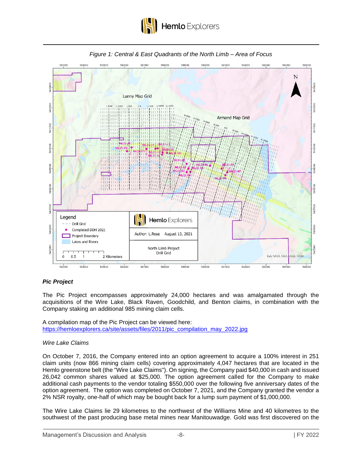





# *Pic Project*

The Pic Project encompasses approximately 24,000 hectares and was amalgamated through the acquisitions of the Wire Lake, Black Raven, Goodchild, and Benton claims, in combination with the Company staking an additional 985 mining claim cells.

A compilation map of the Pic Project can be viewed here: [https://hemloexplorers.ca/site/assets/files/2011/pic\\_compilation\\_may\\_2022.jpg](https://hemloexplorers.ca/site/assets/files/2011/pic_compilation_may_2022.jpg)

# *Wire Lake Claims*

On October 7, 2016, the Company entered into an option agreement to acquire a 100% interest in 251 claim units (now 866 mining claim cells) covering approximately 4,047 hectares that are located in the Hemlo greenstone belt (the "Wire Lake Claims"). On signing, the Company paid \$40,000 in cash and issued 26,042 common shares valued at \$25,000. The option agreement called for the Company to make additional cash payments to the vendor totaling \$550,000 over the following five anniversary dates of the option agreement. The option was completed on October 7, 2021, and the Company granted the vendor a 2% NSR royalty, one-half of which may be bought back for a lump sum payment of \$1,000,000.

The Wire Lake Claims lie 29 kilometres to the northwest of the Williams Mine and 40 kilometres to the southwest of the past producing base metal mines near Manitouwadge. Gold was first discovered on the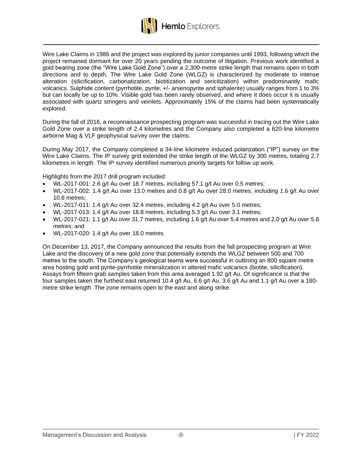

Wire Lake Claims in 1986 and the project was explored by junior companies until 1993, following which the project remained dormant for over 20 years pending the outcome of litigation. Previous work identified a gold bearing zone (the "Wire Lake Gold Zone") over a 2,300-metre strike length that remains open in both directions and to depth. The Wire Lake Gold Zone (WLGZ) is characterized by moderate to intense alteration (silicification, carbonatization, biotitization and sericitization) within predominantly mafic volcanics. Sulphide content (pyrrhotite, pyrite, +/- arsenopyrite and sphalerite) usually ranges from 1 to 3% but can locally be up to 10%. Visible gold has been rarely observed, and where it does occur it is usually associated with quartz stringers and veinlets. Approximately 15% of the claims had been systematically explored.

During the fall of 2016, a reconnaissance prospecting program was successful in tracing out the Wire Lake Gold Zone over a strike length of 2.4 kilometres and the Company also completed a 620-line kilometre airborne Mag & VLF geophysical survey over the claims.

During May 2017, the Company completed a 34-line kilometre induced polarization ("IP") survey on the Wire Lake Claims. The IP survey grid extended the strike length of the WLGZ by 300 metres, totaling 2.7 kilometres in length. The IP survey identified numerous priority targets for follow up work.

Highlights from the 2017 drill program included:

- WL-2017-001: 2.6 g/t Au over 18.7 metres, including 57.1 g/t Au over 0.5 metres;
- WL-2017-002: 1.4 g/t Au over 13.0 metres and 0.8 g/t Au over 28.0 metres, including 1.6 g/t Au over 10.6 metres;
- WL-2017-011: 1.4 g/t Au over 32.4 metres, including 4.2 g/t Au over 5.0 metres;
- WL-2017-013: 1.4 g/t Au over 18.8 metres, including 5.3 g/t Au over 3.1 metres;
- WL-2017-021: 1.1 g/t Au over 31.7 metres, including 1.6 g/t Au over 5.4 metres and 2.0 g/t Au over 5.8 metres; and
- WL-2017-020: 1.4 g/t Au over 18.0 metres.

On December 13, 2017, the Company announced the results from the fall prospecting program at Wire Lake and the discovery of a new gold zone that potentially extends the WLGZ between 500 and 700 metres to the south. The Company's geological teams were successful in outlining an 800 square metre area hosting gold and pyrite-pyrrhotite mineralization in altered mafic volcanics (biotite, silicification). Assays from fifteen grab samples taken from this area averaged 1.92 g/t Au. Of significance is that the four samples taken the furthest east returned 10.4 g/t Au, 6.6 g/t Au, 3.6 g/t Au and 1.1 g/t Au over a 180 metre strike length. The zone remains open to the east and along strike.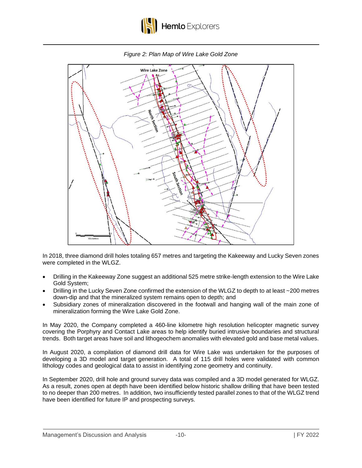

*Figure 2: Plan Map of Wire Lake Gold Zone*



In 2018, three diamond drill holes totaling 657 metres and targeting the Kakeeway and Lucky Seven zones were completed in the WLGZ.

- Drilling in the Kakeeway Zone suggest an additional 525 metre strike-length extension to the Wire Lake Gold System;
- Drilling in the Lucky Seven Zone confirmed the extension of the WLGZ to depth to at least ~200 metres down-dip and that the mineralized system remains open to depth; and
- Subsidiary zones of mineralization discovered in the footwall and hanging wall of the main zone of mineralization forming the Wire Lake Gold Zone.

In May 2020, the Company completed a 460-line kilometre high resolution helicopter magnetic survey covering the Porphyry and Contact Lake areas to help identify buried intrusive boundaries and structural trends. Both target areas have soil and lithogeochem anomalies with elevated gold and base metal values.

In August 2020, a compilation of diamond drill data for Wire Lake was undertaken for the purposes of developing a 3D model and target generation. A total of 115 drill holes were validated with common lithology codes and geological data to assist in identifying zone geometry and continuity.

In September 2020, drill hole and ground survey data was compiled and a 3D model generated for WLGZ. As a result, zones open at depth have been identified below historic shallow drilling that have been tested to no deeper than 200 metres. In addition, two insufficiently tested parallel zones to that of the WLGZ trend have been identified for future IP and prospecting surveys.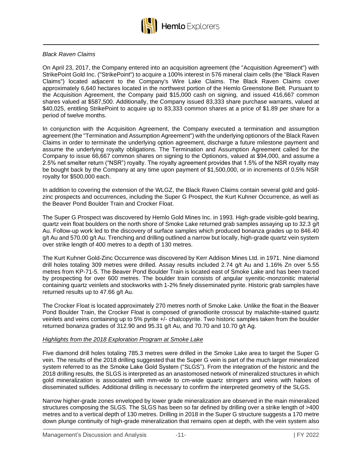

#### *Black Raven Claims*

On April 23, 2017, the Company entered into an acquisition agreement (the "Acquisition Agreement") with StrikePoint Gold Inc. ("StrikePoint") to acquire a 100% interest in 576 mineral claim cells (the "Black Raven Claims") located adjacent to the Company's Wire Lake Claims. The Black Raven Claims cover approximately 6,640 hectares located in the northwest portion of the Hemlo Greenstone Belt. Pursuant to the Acquisition Agreement, the Company paid \$15,000 cash on signing, and issued 416,667 common shares valued at \$587,500. Additionally, the Company issued 83,333 share purchase warrants, valued at \$40,025, entitling StrikePoint to acquire up to 83,333 common shares at a price of \$1.89 per share for a period of twelve months.

In conjunction with the Acquisition Agreement, the Company executed a termination and assumption agreement (the "Termination and Assumption Agreement") with the underlying optionors of the Black Raven Claims in order to terminate the underlying option agreement, discharge a future milestone payment and assume the underlying royalty obligations. The Termination and Assumption Agreement called for the Company to issue 66,667 common shares on signing to the Optionors, valued at \$94,000, and assume a 2.5% net smelter return ("NSR") royalty. The royalty agreement provides that 1.5% of the NSR royalty may be bought back by the Company at any time upon payment of \$1,500,000, or in increments of 0.5% NSR royalty for \$500,000 each.

In addition to covering the extension of the WLGZ, the Black Raven Claims contain several gold and goldzinc prospects and occurrences, including the Super G Prospect, the Kurt Kuhner Occurrence, as well as the Beaver Pond Boulder Train and Crocker Float.

The Super G Prospect was discovered by Hemlo Gold Mines Inc. in 1993. High-grade visible-gold bearing, quartz vein float boulders on the north shore of Smoke Lake returned grab samples assaying up to 32.3 g/t Au. Follow-up work led to the discovery of surface samples which produced bonanza grades up to 846.40 g/t Au and 570.00 g/t Au. Trenching and drilling outlined a narrow but locally, high-grade quartz vein system over strike length of 400 metres to a depth of 130 metres.

The Kurt Kuhner Gold-Zinc Occurrence was discovered by Kerr Addison Mines Ltd. in 1971. Nine diamond drill holes totaling 309 metres were drilled. Assay results included 2.74 g/t Au and 1.16% Zn over 5.55 metres from KP-71-5. The Beaver Pond Boulder Train is located east of Smoke Lake and has been traced by prospecting for over 600 metres. The boulder train consists of angular syenitic-monzonitic material containing quartz veinlets and stockworks with 1-2% finely disseminated pyrite. Historic grab samples have returned results up to 47.66 g/t Au.

The Crocker Float is located approximately 270 metres north of Smoke Lake. Unlike the float in the Beaver Pond Boulder Train, the Crocker Float is composed of granodiorite crosscut by malachite-stained quartz veinlets and veins containing up to 5% pyrite +/- chalcopyrite. Two historic samples taken from the boulder returned bonanza grades of 312.90 and 95.31 g/t Au, and 70.70 and 10.70 g/t Ag.

#### *Highlights from the 2018 Exploration Program at Smoke Lake*

Five diamond drill holes totaling 785.3 metres were drilled in the Smoke Lake area to target the Super G vein. The results of the 2018 drilling suggested that the Super G vein is part of the much larger mineralized system referred to as the Smoke Lake Gold System ("SLGS"). From the integration of the historic and the 2018 drilling results, the SLGS is interpreted as an anastomosed network of mineralized structures in which gold mineralization is associated with mm-wide to cm-wide quartz stringers and veins with haloes of disseminated sulfides. Additional drilling is necessary to confirm the interpreted geometry of the SLGS.

Narrow higher-grade zones enveloped by lower grade mineralization are observed in the main mineralized structures composing the SLGS. The SLGS has been so far defined by drilling over a strike length of >400 metres and to a vertical depth of 130 metres. Drilling in 2018 in the Super G structure suggests a 170 metre down plunge continuity of high-grade mineralization that remains open at depth, with the vein system also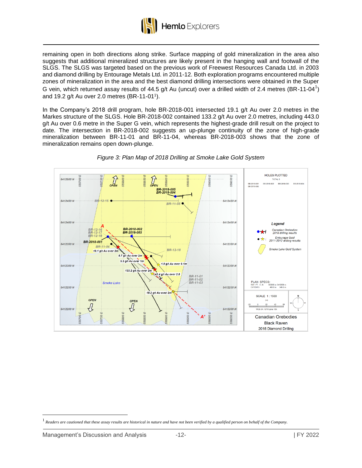

remaining open in both directions along strike. Surface mapping of gold mineralization in the area also suggests that additional mineralized structures are likely present in the hanging wall and footwall of the SLGS. The SLGS was targeted based on the previous work of Freewest Resources Canada Ltd. in 2003 and diamond drilling by Entourage Metals Ltd. in 2011-12. Both exploration programs encountered multiple zones of mineralization in the area and the best diamond drilling intersections were obtained in the Super G vein, which returned assay results of 44.5 g/t Au (uncut) over a drilled width of 2.4 metres (BR-11-04<sup>1</sup>) and 19.2 g/t Au over 2.0 metres (BR-11-01<sup>1</sup> ).

In the Company's 2018 drill program, hole BR-2018-001 intersected 19.1 g/t Au over 2.0 metres in the Markes structure of the SLGS. Hole BR-2018-002 contained 133.2 g/t Au over 2.0 metres, including 443.0 g/t Au over 0.6 metre in the Super G vein, which represents the highest-grade drill result on the project to date. The intersection in BR-2018-002 suggests an up-plunge continuity of the zone of high-grade mineralization between BR-11-01 and BR-11-04, whereas BR-2018-003 shows that the zone of mineralization remains open down-plunge.



# *Figure 3: Plan Map of 2018 Drilling at Smoke Lake Gold System*

<sup>1</sup> *Readers are cautioned that these assay results are historical in nature and have not been verified by a qualified person on behalf of the Company.*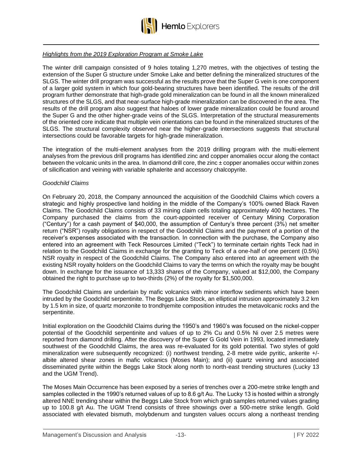

#### *Highlights from the 2019 Exploration Program at Smoke Lake*

The winter drill campaign consisted of 9 holes totaling 1,270 metres, with the objectives of testing the extension of the Super G structure under Smoke Lake and better defining the mineralized structures of the SLGS. The winter drill program was successful as the results prove that the Super G vein is one component of a larger gold system in which four gold-bearing structures have been identified. The results of the drill program further demonstrate that high-grade gold mineralization can be found in all the known mineralized structures of the SLGS, and that near-surface high-grade mineralization can be discovered in the area. The results of the drill program also suggest that haloes of lower grade mineralization could be found around the Super G and the other higher-grade veins of the SLGS. Interpretation of the structural measurements of the oriented core indicate that multiple vein orientations can be found in the mineralized structures of the SLGS. The structural complexity observed near the higher-grade intersections suggests that structural intersections could be favorable targets for high-grade mineralization.

The integration of the multi-element analyses from the 2019 drilling program with the multi-element analyses from the previous drill programs has identified zinc and copper anomalies occur along the contact between the volcanic units in the area. In diamond drill core, the zinc ± copper anomalies occur within zones of silicification and veining with variable sphalerite and accessory chalcopyrite.

#### *Goodchild Claims*

On February 20, 2018, the Company announced the acquisition of the Goodchild Claims which covers a strategic and highly prospective land holding in the middle of the Company's 100% owned Black Raven Claims. The Goodchild Claims consists of 33 mining claim cells totaling approximately 400 hectares. The Company purchased the claims from the court-appointed receiver of Century Mining Corporation ("Century") for a cash payment of \$40,000, the assumption of Century's three percent (3%) net smelter return ("NSR") royalty obligations in respect of the Goodchild Claims and the payment of a portion of the receiver's expenses associated with the transaction. In connection with the purchase, the Company also entered into an agreement with Teck Resources Limited ("Teck") to terminate certain rights Teck had in relation to the Goodchild Claims in exchange for the granting to Teck of a one-half of one percent (0.5%) NSR royalty in respect of the Goodchild Claims. The Company also entered into an agreement with the existing NSR royalty holders on the Goodchild Claims to vary the terms on which the royalty may be bought down. In exchange for the issuance of 13,333 shares of the Company, valued at \$12,000, the Company obtained the right to purchase up to two-thirds (2%) of the royalty for \$1,500,000.

The Goodchild Claims are underlain by mafic volcanics with minor interflow sediments which have been intruded by the Goodchild serpentinite. The Beggs Lake Stock, an elliptical intrusion approximately 3.2 km by 1.5 km in size, of quartz monzonite to trondhjemite composition intrudes the metavolcanic rocks and the serpentinite.

Initial exploration on the Goodchild Claims during the 1950's and 1960's was focused on the nickel-copper potential of the Goodchild serpentinite and values of up to 2% Cu and 0.5% Ni over 2.5 metres were reported from diamond drilling. After the discovery of the Super G Gold Vein in 1993, located immediately southwest of the Goodchild Claims, the area was re-evaluated for its gold potential. Two styles of gold mineralization were subsequently recognized: (i) northwest trending, 2-8 metre wide pyritic, ankerite +/ albite altered shear zones in mafic volcanics (Moses Main); and (ii) quartz veining and associated disseminated pyrite within the Beggs Lake Stock along north to north-east trending structures (Lucky 13 and the UGM Trend).

The Moses Main Occurrence has been exposed by a series of trenches over a 200-metre strike length and samples collected in the 1990's returned values of up to 8.6 g/t Au. The Lucky 13 is hosted within a strongly altered NNE trending shear within the Beggs Lake Stock from which grab samples returned values grading up to 100.8 g/t Au. The UGM Trend consists of three showings over a 500-metre strike length. Gold associated with elevated bismuth, molybdenum and tungsten values occurs along a northeast trending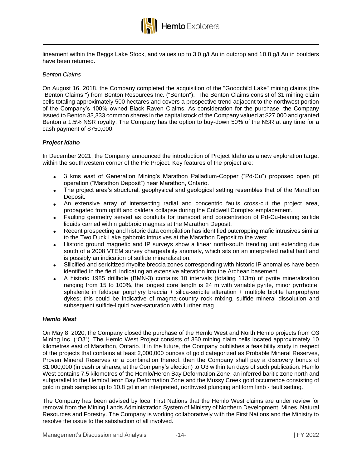

lineament within the Beggs Lake Stock, and values up to 3.0 g/t Au in outcrop and 10.8 g/t Au in boulders have been returned.

#### *Benton Claims*

On August 16, 2018, the Company completed the acquisition of the "Goodchild Lake" mining claims (the "Benton Claims ") from Benton Resources Inc. ("Benton"). The Benton Claims consist of 31 mining claim cells totaling approximately 500 hectares and covers a prospective trend adjacent to the northwest portion of the Company's 100% owned Black Raven Claims. As consideration for the purchase, the Company issued to Benton 33,333 common shares in the capital stock of the Company valued at \$27,000 and granted Benton a 1.5% NSR royalty. The Company has the option to buy-down 50% of the NSR at any time for a cash payment of \$750,000.

## *Project Idaho*

In December 2021, the Company announced the introduction of Project Idaho as a new exploration target within the southwestern corner of the Pic Project. Key features of the project are:

- 3 kms east of Generation Mining's Marathon Palladium-Copper ("Pd-Cu") proposed open pit operation ("Marathon Deposit") near Marathon, Ontario.
- The project area's structural, geophysical and geological setting resembles that of the Marathon Deposit.
- An extensive array of intersecting radial and concentric faults cross-cut the project area, propagated from uplift and caldera collapse during the Coldwell Complex emplacement.
- Faulting geometry served as conduits for transport and concentration of Pd-Cu-bearing sulfide liquids carried within gabbroic magmas at the Marathon Deposit.
- Recent prospecting and historic data compilation has identified outcropping mafic intrusives similar to the Two Duck Lake gabbroic intrusives at the Marathon Deposit to the west.
- Historic ground magnetic and IP surveys show a linear north-south trending unit extending due south of a 2008 VTEM survey chargeability anomaly, which sits on an interpreted radial fault and is possibly an indication of sulfide mineralization.
- Silicified and sericitized rhyolite breccia zones corresponding with historic IP anomalies have been identified in the field, indicating an extensive alteration into the Archean basement.
- A historic 1985 drillhole (BMN-3) contains 10 intervals (totaling 113m) of pyrite mineralization ranging from 15 to 100%, the longest core length is 24 m with variable pyrite, minor pyrrhotite, sphalerite in feldspar porphyry breccia + silica-sericite alteration + multiple biotite lamprophyre dykes; this could be indicative of magma-country rock mixing, sulfide mineral dissolution and subsequent sulfide-liquid over-saturation with further mag

#### *Hemlo West*

On May 8, 2020, the Company closed the purchase of the Hemlo West and North Hemlo projects from O3 Mining Inc. ("O3"). The Hemlo West Project consists of 350 mining claim cells located approximately 10 kilometres east of Marathon, Ontario. If in the future, the Company publishes a feasibility study in respect of the projects that contains at least 2,000,000 ounces of gold categorized as Probable Mineral Reserves, Proven Mineral Reserves or a combination thereof, then the Company shall pay a discovery bonus of \$1,000,000 (in cash or shares, at the Company's election) to O3 within ten days of such publication. Hemlo West contains 7.5 kilometres of the Hemlo/Heron Bay Deformation Zone, an inferred baritic zone north and subparallel to the Hemlo/Heron Bay Deformation Zone and the Mussy Creek gold occurrence consisting of gold in grab samples up to 10.8 g/t in an interpreted, northwest plunging antiform limb - fault setting.

The Company has been advised by local First Nations that the Hemlo West claims are under review for removal from the Mining Lands Administration System of Ministry of Northern Development, Mines, Natural Resources and Forestry. The Company is working collaboratively with the First Nations and the Ministry to resolve the issue to the satisfaction of all involved.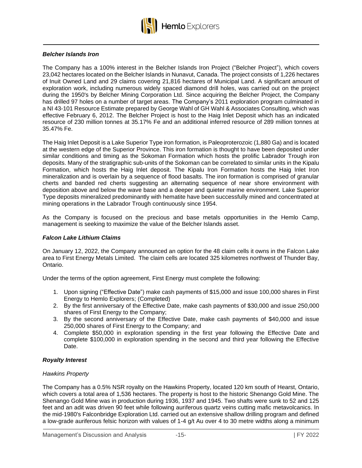

## *Belcher Islands Iron*

The Company has a 100% interest in the Belcher Islands Iron Project ("Belcher Project"), which covers 23,042 hectares located on the Belcher Islands in Nunavut, Canada. The project consists of 1,226 hectares of Inuit Owned Land and 29 claims covering 21,816 hectares of Municipal Land. A significant amount of exploration work, including numerous widely spaced diamond drill holes, was carried out on the project during the 1950's by Belcher Mining Corporation Ltd. Since acquiring the Belcher Project, the Company has drilled 97 holes on a number of target areas. The Company's 2011 exploration program culminated in a NI 43-101 Resource Estimate prepared by George Wahl of GH Wahl & Associates Consulting, which was effective February 6, 2012. The Belcher Project is host to the Haig Inlet Deposit which has an indicated resource of 230 million tonnes at 35.17% Fe and an additional inferred resource of 289 million tonnes at 35.47% Fe.

The Haig Inlet Deposit is a Lake Superior Type iron formation, is Paleoproterozoic (1,880 Ga) and is located at the western edge of the Superior Province. This iron formation is thought to have been deposited under similar conditions and timing as the Sokoman Formation which hosts the prolific Labrador Trough iron deposits. Many of the stratigraphic sub-units of the Sokoman can be correlated to similar units in the Kipalu Formation, which hosts the Haig Inlet deposit. The Kipalu Iron Formation hosts the Haig Inlet Iron mineralization and is overlain by a sequence of flood basalts. The iron formation is comprised of granular cherts and banded red cherts suggesting an alternating sequence of near shore environment with deposition above and below the wave base and a deeper and quieter marine environment. Lake Superior Type deposits mineralized predominantly with hematite have been successfully mined and concentrated at mining operations in the Labrador Trough continuously since 1954.

As the Company is focused on the precious and base metals opportunities in the Hemlo Camp, management is seeking to maximize the value of the Belcher Islands asset.

#### *Falcon Lake Lithium Claims*

On January 12, 2022, the Company announced an option for the 48 claim cells it owns in the Falcon Lake area to First Energy Metals Limited. The claim cells are located 325 kilometres northwest of Thunder Bay, Ontario.

Under the terms of the option agreement, First Energy must complete the following:

- 1. Upon signing ("Effective Date") make cash payments of \$15,000 and issue 100,000 shares in First Energy to Hemlo Explorers; (Completed)
- 2. By the first anniversary of the Effective Date, make cash payments of \$30,000 and issue 250,000 shares of First Energy to the Company;
- 3. By the second anniversary of the Effective Date, make cash payments of \$40,000 and issue 250,000 shares of First Energy to the Company; and
- 4. Complete \$50,000 in exploration spending in the first year following the Effective Date and complete \$100,000 in exploration spending in the second and third year following the Effective Date.

## *Royalty Interest*

## *Hawkins Property*

The Company has a 0.5% NSR royalty on the Hawkins Property, located 120 km south of Hearst, Ontario, which covers a total area of 1,536 hectares. The property is host to the historic Shenango Gold Mine. The Shenango Gold Mine was in production during 1936, 1937 and 1945. Two shafts were sunk to 52 and 125 feet and an adit was driven 90 feet while following auriferous quartz veins cutting mafic metavolcanics. In the mid-1980's Falconbridge Exploration Ltd. carried out an extensive shallow drilling program and defined a low-grade auriferous felsic horizon with values of 1-4 g/t Au over 4 to 30 metre widths along a minimum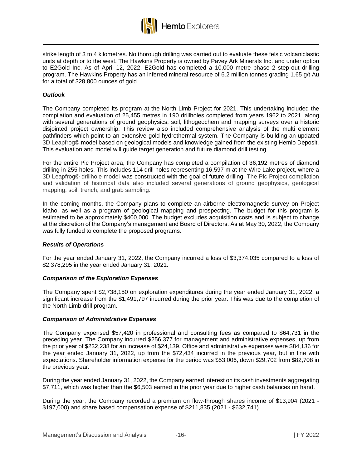

strike length of 3 to 4 kilometres. No thorough drilling was carried out to evaluate these felsic volcaniclastic units at depth or to the west. The Hawkins Property is owned by Pavey Ark Minerals Inc. and under option to E2Gold Inc. As of April 12, 2022, E2Gold has completed a 10,000 metre phase 2 step-out drilling program. The Hawkins Property has an inferred mineral resource of 6.2 million tonnes grading 1.65 g/t Au for a total of 328,800 ounces of gold.

# *Outlook*

The Company completed its program at the North Limb Project for 2021. This undertaking included the compilation and evaluation of 25,455 metres in 190 drillholes completed from years 1962 to 2021, along with several generations of ground geophysics, soil, lithogeochem and mapping surveys over a historic disjointed project ownership. This review also included comprehensive analysis of the multi element pathfinders which point to an extensive gold hydrothermal system. The Company is building an updated 3D Leapfrog© model based on geological models and knowledge gained from the existing Hemlo Deposit. This evaluation and model will guide target generation and future diamond drill testing.

For the entire Pic Project area, the Company has completed a compilation of 36,192 metres of diamond drilling in 255 holes. This includes 114 drill holes representing 16,597 m at the Wire Lake project, where a 3D Leapfrog© drillhole model was constructed with the goal of future drilling. The Pic Project compilation and validation of historical data also included several generations of ground geophysics, geological mapping, soil, trench, and grab sampling.

In the coming months, the Company plans to complete an airborne electromagnetic survey on Project Idaho, as well as a program of geological mapping and prospecting. The budget for this program is estimated to be approximately \$400,000. The budget excludes acquisition costs and is subject to change at the discretion of the Company's management and Board of Directors. As at May 30, 2022, the Company was fully funded to complete the proposed programs.

#### *Results of Operations*

For the year ended January 31, 2022, the Company incurred a loss of \$3,374,035 compared to a loss of \$2,378,295 in the year ended January 31, 2021.

#### *Comparison of the Exploration Expenses*

The Company spent \$2,738,150 on exploration expenditures during the year ended January 31, 2022, a significant increase from the \$1,491,797 incurred during the prior year. This was due to the completion of the North Limb drill program.

#### *Comparison of Administrative Expenses*

The Company expensed \$57,420 in professional and consulting fees as compared to \$64,731 in the preceding year. The Company incurred \$256,377 for management and administrative expenses, up from the prior year of \$232,238 for an increase of \$24,139. Office and administrative expenses were \$84,136 for the year ended January 31, 2022, up from the \$72,434 incurred in the previous year, but in line with expectations. Shareholder information expense for the period was \$53,006, down \$29,702 from \$82,708 in the previous year.

During the year ended January 31, 2022, the Company earned interest on its cash investments aggregating \$7,711, which was higher than the \$6,503 earned in the prior year due to higher cash balances on hand.

During the year, the Company recorded a premium on flow-through shares income of \$13,904 (2021 - \$197,000) and share based compensation expense of \$211,835 (2021 - \$632,741).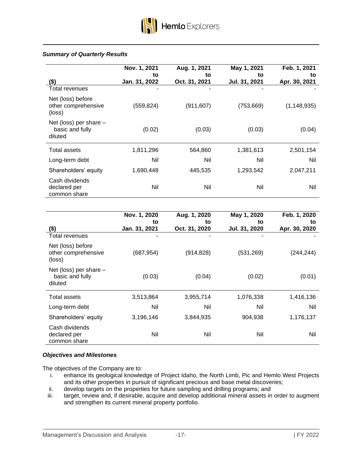## *Summary of Quarterly Results*

|                                                        | Nov. 1, 2021<br>to | Aug. 1, 2021<br>to | May 1, 2021<br>to | Feb. 1, 2021<br>to |
|--------------------------------------------------------|--------------------|--------------------|-------------------|--------------------|
| $($ \$)                                                | Jan. 31, 2022      | Oct. 31, 2021      | Jul. 31, 2021     | Apr. 30, 2021      |
| Total revenues                                         | $\blacksquare$     |                    |                   |                    |
| Net (loss) before<br>other comprehensive<br>(loss)     | (559,824)          | (911, 607)         | (753, 669)        | (1, 148, 935)      |
| Net (loss) per share $-$<br>basic and fully<br>diluted | (0.02)             | (0.03)             | (0.03)            | (0.04)             |
| Total assets                                           | 1,811,296          | 564,860            | 1,381,613         | 2,501,154          |
| Long-term debt                                         | Nil                | Nil                | Nil               | Nil                |
| Shareholders' equity                                   | 1,690,448          | 445,535            | 1,293,542         | 2,047,211          |
| Cash dividends<br>declared per<br>common share         | Nil                | Nil                | Nil               | Nil                |

|                                                        | Nov. 1, 2020<br>to | Aug. 1, 2020<br>to | May 1, 2020<br>to | Feb. 1, 2020<br>to |
|--------------------------------------------------------|--------------------|--------------------|-------------------|--------------------|
| $($ \$)                                                | Jan. 31, 2021      | Oct. 31, 2020      | Jul. 31, 2020     | Apr. 30, 2020      |
| <b>Total revenues</b>                                  |                    |                    |                   |                    |
| Net (loss) before<br>other comprehensive<br>(loss)     | (687, 954)         | (914, 828)         | (531, 269)        | (244, 244)         |
| Net (loss) per share $-$<br>basic and fully<br>diluted | (0.03)             | (0.04)             | (0.02)            | (0.01)             |
| Total assets                                           | 3,513,864          | 3,955,714          | 1,076,338         | 1,416,136          |
| Long-term debt                                         | Nil                | Nil                | Nil               | Nil                |
| Shareholders' equity                                   | 3,196,146          | 3,844,935          | 904,938           | 1,176,137          |
| Cash dividends<br>declared per<br>common share         | Nil                | Nil                | Nil               | Nil                |

## *Objectives and Milestones*

The objectives of the Company are to:

- i. enhance its geological knowledge of Project Idaho, the North Limb, Pic and Hemlo West Projects and its other properties in pursuit of significant precious and base metal discoveries;
- ii. develop targets on the properties for future sampling and drilling programs; and
- iii. target, review and, if desirable, acquire and develop additional mineral assets in order to augment and strengthen its current mineral property portfolio.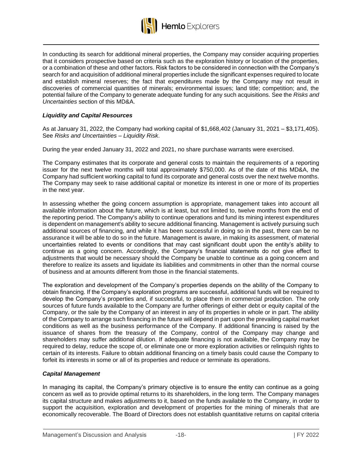

In conducting its search for additional mineral properties, the Company may consider acquiring properties that it considers prospective based on criteria such as the exploration history or location of the properties, or a combination of these and other factors. Risk factors to be considered in connection with the Company's search for and acquisition of additional mineral properties include the significant expenses required to locate and establish mineral reserves; the fact that expenditures made by the Company may not result in discoveries of commercial quantities of minerals; environmental issues; land title; competition; and, the potential failure of the Company to generate adequate funding for any such acquisitions. See the *Risks and Uncertainties* section of this MD&A.

# *Liquidity and Capital Resources*

As at January 31, 2022, the Company had working capital of \$1,668,402 (January 31, 2021 – \$3,171,405). See *Risks and Uncertainties – Liquidity Risk*.

During the year ended January 31, 2022 and 2021, no share purchase warrants were exercised.

The Company estimates that its corporate and general costs to maintain the requirements of a reporting issuer for the next twelve months will total approximately \$750,000. As of the date of this MD&A, the Company had sufficient working capital to fund its corporate and general costs over the next twelve months. The Company may seek to raise additional capital or monetize its interest in one or more of its properties in the next year.

In assessing whether the going concern assumption is appropriate, management takes into account all available information about the future, which is at least, but not limited to, twelve months from the end of the reporting period. The Company's ability to continue operations and fund its mining interest expenditures is dependent on management's ability to secure additional financing. Management is actively pursuing such additional sources of financing, and while it has been successful in doing so in the past, there can be no assurance it will be able to do so in the future. Management is aware, in making its assessment, of material uncertainties related to events or conditions that may cast significant doubt upon the entity's ability to continue as a going concern. Accordingly, the Company's financial statements do not give effect to adjustments that would be necessary should the Company be unable to continue as a going concern and therefore to realize its assets and liquidate its liabilities and commitments in other than the normal course of business and at amounts different from those in the financial statements.

The exploration and development of the Company's properties depends on the ability of the Company to obtain financing. If the Company's exploration programs are successful, additional funds will be required to develop the Company's properties and, if successful, to place them in commercial production. The only sources of future funds available to the Company are further offerings of either debt or equity capital of the Company, or the sale by the Company of an interest in any of its properties in whole or in part. The ability of the Company to arrange such financing in the future will depend in part upon the prevailing capital market conditions as well as the business performance of the Company. If additional financing is raised by the issuance of shares from the treasury of the Company, control of the Company may change and shareholders may suffer additional dilution. If adequate financing is not available, the Company may be required to delay, reduce the scope of, or eliminate one or more exploration activities or relinquish rights to certain of its interests. Failure to obtain additional financing on a timely basis could cause the Company to forfeit its interests in some or all of its properties and reduce or terminate its operations.

#### *Capital Management*

In managing its capital, the Company's primary objective is to ensure the entity can continue as a going concern as well as to provide optimal returns to its shareholders, in the long term. The Company manages its capital structure and makes adjustments to it, based on the funds available to the Company, in order to support the acquisition, exploration and development of properties for the mining of minerals that are economically recoverable. The Board of Directors does not establish quantitative returns on capital criteria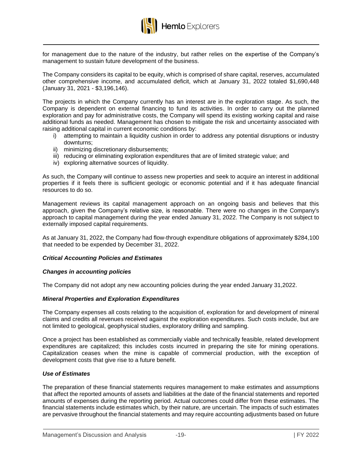

for management due to the nature of the industry, but rather relies on the expertise of the Company's management to sustain future development of the business.

The Company considers its capital to be equity, which is comprised of share capital, reserves, accumulated other comprehensive income, and accumulated deficit, which at January 31, 2022 totaled \$1,690,448 (January 31, 2021 - \$3,196,146).

The projects in which the Company currently has an interest are in the exploration stage. As such, the Company is dependent on external financing to fund its activities. In order to carry out the planned exploration and pay for administrative costs, the Company will spend its existing working capital and raise additional funds as needed. Management has chosen to mitigate the risk and uncertainty associated with raising additional capital in current economic conditions by:

- i) attempting to maintain a liquidity cushion in order to address any potential disruptions or industry downturns;
- ii) minimizing discretionary disbursements;
- iii) reducing or eliminating exploration expenditures that are of limited strategic value; and
- iv) exploring alternative sources of liquidity.

As such, the Company will continue to assess new properties and seek to acquire an interest in additional properties if it feels there is sufficient geologic or economic potential and if it has adequate financial resources to do so.

Management reviews its capital management approach on an ongoing basis and believes that this approach, given the Company's relative size, is reasonable. There were no changes in the Company's approach to capital management during the year ended January 31, 2022. The Company is not subject to externally imposed capital requirements.

As at January 31, 2022, the Company had flow-through expenditure obligations of approximately \$284,100 that needed to be expended by December 31, 2022.

#### *Critical Accounting Policies and Estimates*

#### *Changes in accounting policies*

The Company did not adopt any new accounting policies during the year ended January 31,2022.

#### *Mineral Properties and Exploration Expenditures*

The Company expenses all costs relating to the acquisition of, exploration for and development of mineral claims and credits all revenues received against the exploration expenditures. Such costs include, but are not limited to geological, geophysical studies, exploratory drilling and sampling.

Once a project has been established as commercially viable and technically feasible, related development expenditures are capitalized; this includes costs incurred in preparing the site for mining operations. Capitalization ceases when the mine is capable of commercial production, with the exception of development costs that give rise to a future benefit.

## *Use of Estimates*

The preparation of these financial statements requires management to make estimates and assumptions that affect the reported amounts of assets and liabilities at the date of the financial statements and reported amounts of expenses during the reporting period. Actual outcomes could differ from these estimates. The financial statements include estimates which, by their nature, are uncertain. The impacts of such estimates are pervasive throughout the financial statements and may require accounting adjustments based on future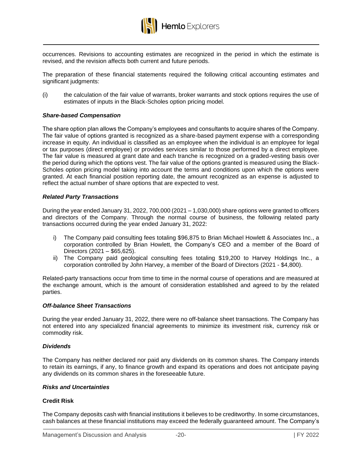

occurrences. Revisions to accounting estimates are recognized in the period in which the estimate is revised, and the revision affects both current and future periods.

The preparation of these financial statements required the following critical accounting estimates and significant judgments:

(i) the calculation of the fair value of warrants, broker warrants and stock options requires the use of estimates of inputs in the Black-Scholes option pricing model.

#### *Share-based Compensation*

The share option plan allows the Company's employees and consultants to acquire shares of the Company. The fair value of options granted is recognized as a share-based payment expense with a corresponding increase in equity. An individual is classified as an employee when the individual is an employee for legal or tax purposes (direct employee) or provides services similar to those performed by a direct employee. The fair value is measured at grant date and each tranche is recognized on a graded-vesting basis over the period during which the options vest. The fair value of the options granted is measured using the Black-Scholes option pricing model taking into account the terms and conditions upon which the options were granted. At each financial position reporting date, the amount recognized as an expense is adjusted to reflect the actual number of share options that are expected to vest.

#### *Related Party Transactions*

During the year ended January 31, 2022, 700,000 (2021 – 1,030,000) share options were granted to officers and directors of the Company. Through the normal course of business, the following related party transactions occurred during the year ended January 31, 2022:

- i) The Company paid consulting fees totaling \$96,875 to Brian Michael Howlett & Associates Inc., a corporation controlled by Brian Howlett, the Company's CEO and a member of the Board of Directors (2021 – \$65,625).
- ii) The Company paid geological consulting fees totaling \$19,200 to Harvey Holdings Inc., a corporation controlled by John Harvey, a member of the Board of Directors (2021 - \$4,800).

Related-party transactions occur from time to time in the normal course of operations and are measured at the exchange amount, which is the amount of consideration established and agreed to by the related parties.

#### *Off-balance Sheet Transactions*

During the year ended January 31, 2022, there were no off-balance sheet transactions. The Company has not entered into any specialized financial agreements to minimize its investment risk, currency risk or commodity risk.

#### *Dividends*

The Company has neither declared nor paid any dividends on its common shares. The Company intends to retain its earnings, if any, to finance growth and expand its operations and does not anticipate paying any dividends on its common shares in the foreseeable future.

#### *Risks and Uncertainties*

#### **Credit Risk**

The Company deposits cash with financial institutions it believes to be creditworthy. In some circumstances, cash balances at these financial institutions may exceed the federally guaranteed amount. The Company's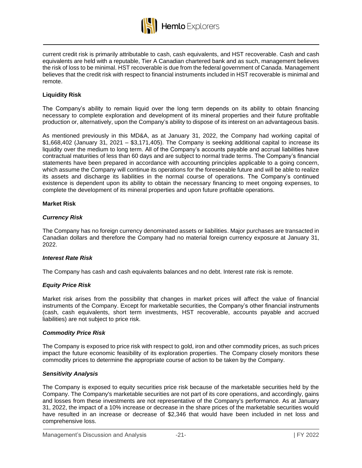

current credit risk is primarily attributable to cash, cash equivalents, and HST recoverable. Cash and cash equivalents are held with a reputable, Tier A Canadian chartered bank and as such, management believes the risk of loss to be minimal. HST recoverable is due from the federal government of Canada. Management believes that the credit risk with respect to financial instruments included in HST recoverable is minimal and remote.

# **Liquidity Risk**

The Company's ability to remain liquid over the long term depends on its ability to obtain financing necessary to complete exploration and development of its mineral properties and their future profitable production or, alternatively, upon the Company's ability to dispose of its interest on an advantageous basis.

As mentioned previously in this MD&A, as at January 31, 2022, the Company had working capital of  $$1,668,402$  (January 31, 2021 –  $$3,171,405$ ). The Company is seeking additional capital to increase its liquidity over the medium to long term. All of the Company's accounts payable and accrual liabilities have contractual maturities of less than 60 days and are subject to normal trade terms. The Company's financial statements have been prepared in accordance with accounting principles applicable to a going concern, which assume the Company will continue its operations for the foreseeable future and will be able to realize its assets and discharge its liabilities in the normal course of operations. The Company's continued existence is dependent upon its ability to obtain the necessary financing to meet ongoing expenses, to complete the development of its mineral properties and upon future profitable operations.

## **Market Risk**

## *Currency Risk*

The Company has no foreign currency denominated assets or liabilities. Major purchases are transacted in Canadian dollars and therefore the Company had no material foreign currency exposure at January 31, 2022.

#### *Interest Rate Risk*

The Company has cash and cash equivalents balances and no debt. Interest rate risk is remote.

# *Equity Price Risk*

Market risk arises from the possibility that changes in market prices will affect the value of financial instruments of the Company. Except for marketable securities, the Company's other financial instruments (cash, cash equivalents, short term investments, HST recoverable, accounts payable and accrued liabilities) are not subject to price risk.

# *Commodity Price Risk*

The Company is exposed to price risk with respect to gold, iron and other commodity prices, as such prices impact the future economic feasibility of its exploration properties. The Company closely monitors these commodity prices to determine the appropriate course of action to be taken by the Company.

# *Sensitivity Analysis*

The Company is exposed to equity securities price risk because of the marketable securities held by the Company. The Company's marketable securities are not part of its core operations, and accordingly, gains and losses from these investments are not representative of the Company's performance. As at January 31, 2022, the impact of a 10% increase or decrease in the share prices of the marketable securities would have resulted in an increase or decrease of \$2,346 that would have been included in net loss and comprehensive loss.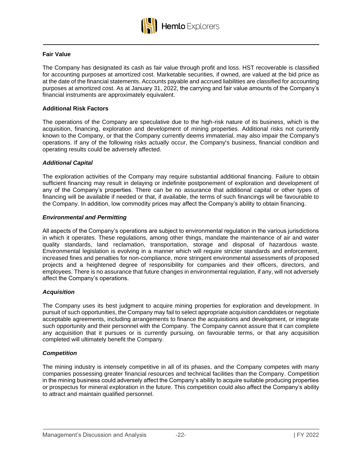

## **Fair Value**

The Company has designated its cash as fair value through profit and loss. HST recoverable is classified for accounting purposes at amortized cost. Marketable securities, if owned, are valued at the bid price as at the date of the financial statements. Accounts payable and accrued liabilities are classified for accounting purposes at amortized cost. As at January 31, 2022, the carrying and fair value amounts of the Company's financial instruments are approximately equivalent.

#### **Additional Risk Factors**

The operations of the Company are speculative due to the high-risk nature of its business, which is the acquisition, financing, exploration and development of mining properties. Additional risks not currently known to the Company, or that the Company currently deems immaterial, may also impair the Company's operations. If any of the following risks actually occur, the Company's business, financial condition and operating results could be adversely affected.

#### *Additional Capital*

The exploration activities of the Company may require substantial additional financing. Failure to obtain sufficient financing may result in delaying or indefinite postponement of exploration and development of any of the Company's properties. There can be no assurance that additional capital or other types of financing will be available if needed or that, if available, the terms of such financings will be favourable to the Company. In addition, low commodity prices may affect the Company's ability to obtain financing.

#### *Environmental and Permitting*

All aspects of the Company's operations are subject to environmental regulation in the various jurisdictions in which it operates. These regulations, among other things, mandate the maintenance of air and water quality standards, land reclamation, transportation, storage and disposal of hazardous waste. Environmental legislation is evolving in a manner which will require stricter standards and enforcement, increased fines and penalties for non-compliance, more stringent environmental assessments of proposed projects and a heightened degree of responsibility for companies and their officers, directors, and employees. There is no assurance that future changes in environmental regulation, if any, will not adversely affect the Company's operations.

#### *Acquisition*

The Company uses its best judgment to acquire mining properties for exploration and development. In pursuit of such opportunities, the Company may fail to select appropriate acquisition candidates or negotiate acceptable agreements, including arrangements to finance the acquisitions and development, or integrate such opportunity and their personnel with the Company. The Company cannot assure that it can complete any acquisition that it pursues or is currently pursuing, on favourable terms, or that any acquisition completed will ultimately benefit the Company.

#### *Competition*

The mining industry is intensely competitive in all of its phases, and the Company competes with many companies possessing greater financial resources and technical facilities than the Company. Competition in the mining business could adversely affect the Company's ability to acquire suitable producing properties or prospectus for mineral exploration in the future. This competition could also affect the Company's ability to attract and maintain qualified personnel.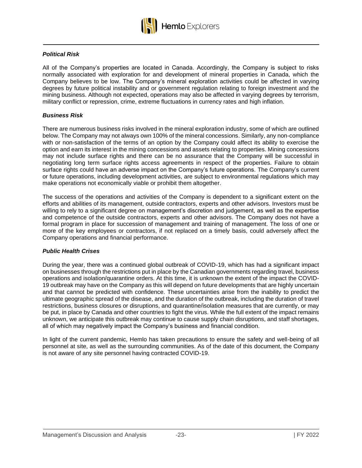

# *Political Risk*

All of the Company's properties are located in Canada. Accordingly, the Company is subject to risks normally associated with exploration for and development of mineral properties in Canada, which the Company believes to be low. The Company's mineral exploration activities could be affected in varying degrees by future political instability and or government regulation relating to foreign investment and the mining business. Although not expected, operations may also be affected in varying degrees by terrorism, military conflict or repression, crime, extreme fluctuations in currency rates and high inflation.

## *Business Risk*

There are numerous business risks involved in the mineral exploration industry, some of which are outlined below. The Company may not always own 100% of the mineral concessions. Similarly, any non-compliance with or non-satisfaction of the terms of an option by the Company could affect its ability to exercise the option and earn its interest in the mining concessions and assets relating to properties. Mining concessions may not include surface rights and there can be no assurance that the Company will be successful in negotiating long term surface rights access agreements in respect of the properties. Failure to obtain surface rights could have an adverse impact on the Company's future operations. The Company's current or future operations, including development activities, are subject to environmental regulations which may make operations not economically viable or prohibit them altogether.

The success of the operations and activities of the Company is dependent to a significant extent on the efforts and abilities of its management, outside contractors, experts and other advisors. Investors must be willing to rely to a significant degree on management's discretion and judgement, as well as the expertise and competence of the outside contractors, experts and other advisors. The Company does not have a formal program in place for succession of management and training of management. The loss of one or more of the key employees or contractors, if not replaced on a timely basis, could adversely affect the Company operations and financial performance.

#### *Public Health Crises*

During the year, there was a continued global outbreak of COVID-19, which has had a significant impact on businesses through the restrictions put in place by the Canadian governments regarding travel, business operations and isolation/quarantine orders. At this time, it is unknown the extent of the impact the COVID-19 outbreak may have on the Company as this will depend on future developments that are highly uncertain and that cannot be predicted with confidence. These uncertainties arise from the inability to predict the ultimate geographic spread of the disease, and the duration of the outbreak, including the duration of travel restrictions, business closures or disruptions, and quarantine/isolation measures that are currently, or may be put, in place by Canada and other countries to fight the virus. While the full extent of the impact remains unknown, we anticipate this outbreak may continue to cause supply chain disruptions, and staff shortages, all of which may negatively impact the Company's business and financial condition.

In light of the current pandemic, Hemlo has taken precautions to ensure the safety and well-being of all personnel at site, as well as the surrounding communities. As of the date of this document, the Company is not aware of any site personnel having contracted COVID-19.